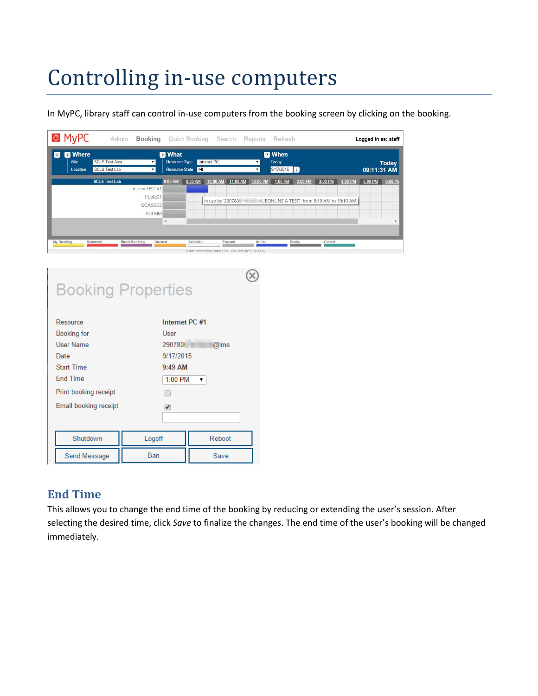# Controlling in-use computers

In MyPC, library staff can control in-use computers from the booking screen by clicking on the booking.

|   | <b>&amp; MyPC</b>                         | Admin                                         | <b>Booking</b>                      | Quick Booking                                                 |           | Search                                                |                   | Reports      | Refresh                                      |         |         |         | Logged in as: staff |              |
|---|-------------------------------------------|-----------------------------------------------|-------------------------------------|---------------------------------------------------------------|-----------|-------------------------------------------------------|-------------------|--------------|----------------------------------------------|---------|---------|---------|---------------------|--------------|
| ◙ | <b>R</b> Where<br><b>Site</b><br>Location | <b>SCLS Test Area</b><br><b>SCLS Test Lab</b> | $\mathbf{v}$<br>$\mathbf{v}$        | <b>n</b> What<br><b>Resource Type</b><br>Resource State   All |           | Internet PC                                           |                   | $\mathbf{v}$ | <b>n</b> When<br>Today<br>9/17/2015          |         |         |         | 09:11:31 AM         | <b>Today</b> |
|   |                                           | <b>SCLS Test Lab</b>                          | Internet PC #1                      | 8:00 AM                                                       | 9:00 AM   |                                                       | 10:00 AM 11:00 AM | 12:00 PM     | 1:00 PM                                      | 2:00 PM | 3:00 PM | 4:00 PM | 5:00 PM             | 6:00 PM      |
|   |                                           |                                               | Public01<br>QCASS02<br><b>SCLMM</b> |                                                               |           | In use by '290780                                     |                   |              | (LIBONLINE A TEST)' from 9:10 AM to 10:10 AM |         |         |         |                     |              |
|   |                                           |                                               |                                     | $\blacktriangleleft$                                          |           |                                                       |                   |              |                                              |         |         |         |                     |              |
|   | My Booking                                | Reserved                                      | <b>Block Booking</b><br>Queued      |                                                               | Available | @ Info Technology Supply Ltd 2003-2015 MyPC y6 1.0.42 | Elapsed           | In Use       |                                              | Faulty  | Closed  |         |                     |              |

|                                                                                                                                               | <b>Booking Properties</b>                                                   |             |
|-----------------------------------------------------------------------------------------------------------------------------------------------|-----------------------------------------------------------------------------|-------------|
| Resource<br>Booking for<br><b>User Name</b><br>Date<br><b>Start Time</b><br><b>End Time</b><br>Print booking receipt<br>Email booking receipt | Internet PC #1<br>User<br>2907801<br>9/17/2015<br>$9:49$ AM<br>1:00 PM<br>✔ | ≣@lms<br>Δ. |
| Shutdown                                                                                                                                      | Logoff                                                                      | Reboot      |
| Send Message                                                                                                                                  | Ban                                                                         | Save        |

# **End Time**

This allows you to change the end time of the booking by reducing or extending the user's session. After selecting the desired time, click *Save* to finalize the changes. The end time of the user's booking will be changed immediately.